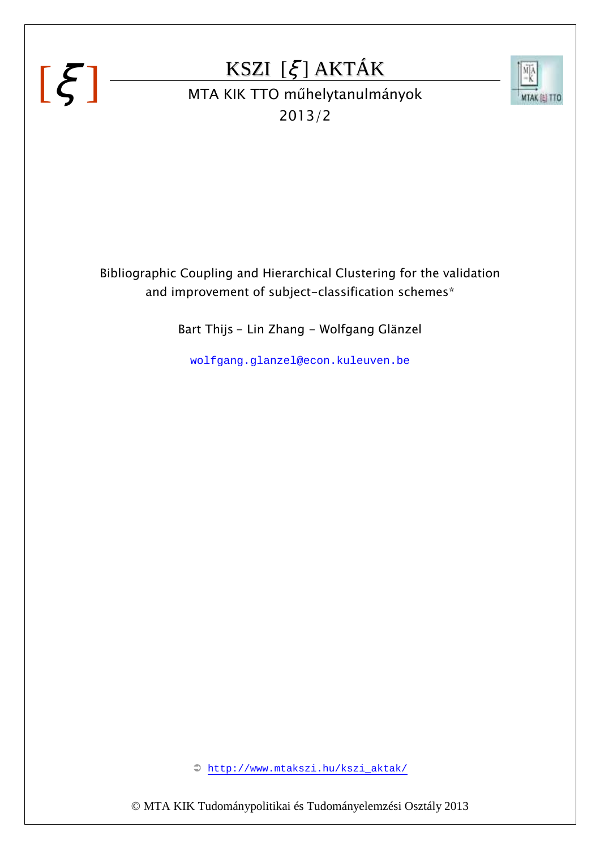# $[\xi]$

### KSZI [ξ ] AKTÁK



## KSZI [*Ş* ] AKTAK<br>MTA KIK TTO műhelytanulmányok 2013/2

Bibliographic Coupling and Hierarchical Clustering for the validation and improvement of subject-classification schemes\*

Bart Thijs - Lin Zhang - Wolfgang Glänzel

wolfgang.glanzel@econ.kuleuven.be

http://www.mtakszi.hu/kszi\_aktak/

© MTA KIK Tudománypolitikai és Tudományelemzési Osztály 2013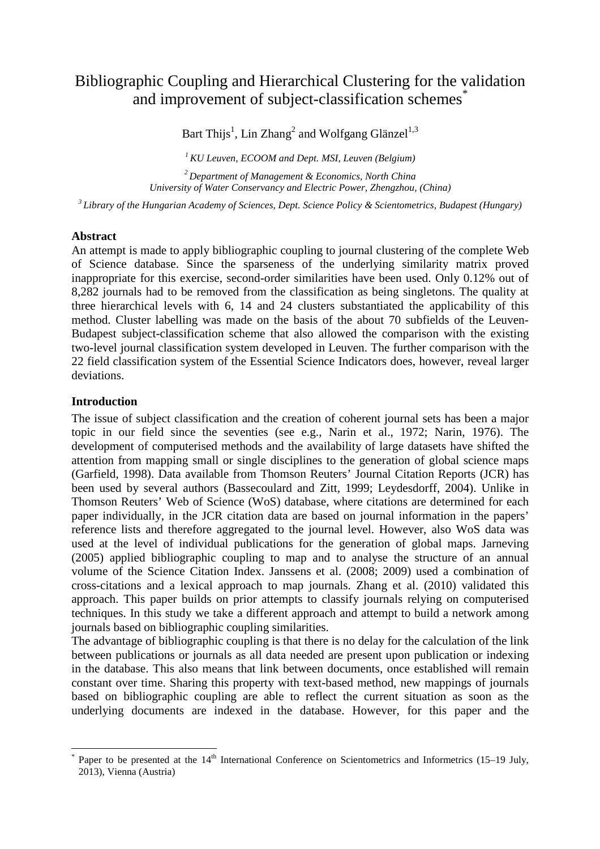#### Bibliographic Coupling and Hierarchical Clustering for the validation and improvement of subject-classification schemes<sup>\*</sup>

Bart Thijs<sup>1</sup>, Lin Zhang<sup>2</sup> and Wolfgang Glänzel<sup>1,3</sup>

*<sup>1</sup>KU Leuven, ECOOM and Dept. MSI, Leuven (Belgium) <sup>2</sup>Department of Management & Economics, North China University of Water Conservancy and Electric Power, Zhengzhou, (China)* 

*<sup>3</sup>Library of the Hungarian Academy of Sciences, Dept. Science Policy & Scientometrics, Budapest (Hungary)* 

#### **Abstract**

An attempt is made to apply bibliographic coupling to journal clustering of the complete Web of Science database. Since the sparseness of the underlying similarity matrix proved inappropriate for this exercise, second-order similarities have been used. Only 0.12% out of 8,282 journals had to be removed from the classification as being singletons. The quality at three hierarchical levels with 6, 14 and 24 clusters substantiated the applicability of this method. Cluster labelling was made on the basis of the about 70 subfields of the Leuven-Budapest subject-classification scheme that also allowed the comparison with the existing two-level journal classification system developed in Leuven. The further comparison with the 22 field classification system of the Essential Science Indicators does, however, reveal larger deviations.

#### **Introduction**

 $\overline{a}$ 

The issue of subject classification and the creation of coherent journal sets has been a major topic in our field since the seventies (see e.g., Narin et al., 1972; Narin, 1976). The development of computerised methods and the availability of large datasets have shifted the attention from mapping small or single disciplines to the generation of global science maps (Garfield, 1998). Data available from Thomson Reuters' Journal Citation Reports (JCR) has been used by several authors (Bassecoulard and Zitt, 1999; Leydesdorff, 2004). Unlike in Thomson Reuters' Web of Science (WoS) database, where citations are determined for each paper individually, in the JCR citation data are based on journal information in the papers' reference lists and therefore aggregated to the journal level. However, also WoS data was used at the level of individual publications for the generation of global maps. Jarneving (2005) applied bibliographic coupling to map and to analyse the structure of an annual volume of the Science Citation Index. Janssens et al. (2008; 2009) used a combination of cross-citations and a lexical approach to map journals. Zhang et al. (2010) validated this approach. This paper builds on prior attempts to classify journals relying on computerised techniques. In this study we take a different approach and attempt to build a network among journals based on bibliographic coupling similarities.

The advantage of bibliographic coupling is that there is no delay for the calculation of the link between publications or journals as all data needed are present upon publication or indexing in the database. This also means that link between documents, once established will remain constant over time. Sharing this property with text-based method, new mappings of journals based on bibliographic coupling are able to reflect the current situation as soon as the underlying documents are indexed in the database. However, for this paper and the

<sup>\*</sup> Paper to be presented at the  $14<sup>th</sup>$  International Conference on Scientometrics and Informetrics (15–19 July, 2013), Vienna (Austria)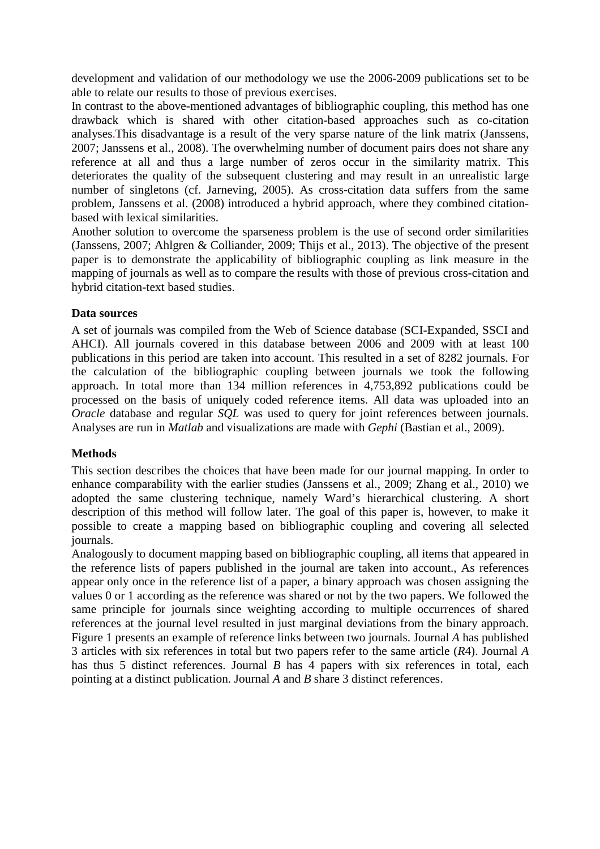development and validation of our methodology we use the 2006-2009 publications set to be able to relate our results to those of previous exercises.

In contrast to the above-mentioned advantages of bibliographic coupling, this method has one drawback which is shared with other citation-based approaches such as co-citation analyses.This disadvantage is a result of the very sparse nature of the link matrix (Janssens, 2007; Janssens et al., 2008). The overwhelming number of document pairs does not share any reference at all and thus a large number of zeros occur in the similarity matrix. This deteriorates the quality of the subsequent clustering and may result in an unrealistic large number of singletons (cf. Jarneving, 2005). As cross-citation data suffers from the same problem, Janssens et al. (2008) introduced a hybrid approach, where they combined citationbased with lexical similarities.

Another solution to overcome the sparseness problem is the use of second order similarities (Janssens, 2007; Ahlgren & Colliander, 2009; Thijs et al., 2013). The objective of the present paper is to demonstrate the applicability of bibliographic coupling as link measure in the mapping of journals as well as to compare the results with those of previous cross-citation and hybrid citation-text based studies.

#### **Data sources**

A set of journals was compiled from the Web of Science database (SCI-Expanded, SSCI and AHCI). All journals covered in this database between 2006 and 2009 with at least 100 publications in this period are taken into account. This resulted in a set of 8282 journals. For the calculation of the bibliographic coupling between journals we took the following approach. In total more than 134 million references in 4,753,892 publications could be processed on the basis of uniquely coded reference items. All data was uploaded into an *Oracle* database and regular *SOL* was used to query for joint references between journals. Analyses are run in *Matlab* and visualizations are made with *Gephi* (Bastian et al., 2009).

#### **Methods**

This section describes the choices that have been made for our journal mapping. In order to enhance comparability with the earlier studies (Janssens et al., 2009; Zhang et al., 2010) we adopted the same clustering technique, namely Ward's hierarchical clustering. A short description of this method will follow later. The goal of this paper is, however, to make it possible to create a mapping based on bibliographic coupling and covering all selected journals.

Analogously to document mapping based on bibliographic coupling, all items that appeared in the reference lists of papers published in the journal are taken into account., As references appear only once in the reference list of a paper, a binary approach was chosen assigning the values 0 or 1 according as the reference was shared or not by the two papers. We followed the same principle for journals since weighting according to multiple occurrences of shared references at the journal level resulted in just marginal deviations from the binary approach. Figure 1 presents an example of reference links between two journals. Journal *A* has published 3 articles with six references in total but two papers refer to the same article (*R*4). Journal *A* has thus 5 distinct references. Journal *B* has 4 papers with six references in total, each pointing at a distinct publication. Journal *A* and *B* share 3 distinct references.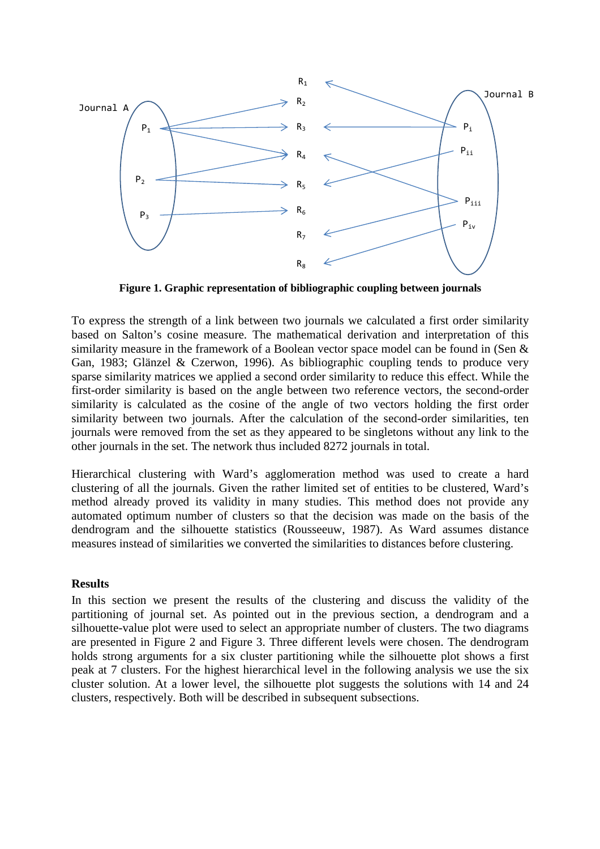

**Figure 1. Graphic representation of bibliographic coupling between journals** 

To express the strength of a link between two journals we calculated a first order similarity based on Salton's cosine measure. The mathematical derivation and interpretation of this similarity measure in the framework of a Boolean vector space model can be found in (Sen & Gan, 1983; Glänzel & Czerwon, 1996). As bibliographic coupling tends to produce very sparse similarity matrices we applied a second order similarity to reduce this effect. While the first-order similarity is based on the angle between two reference vectors, the second-order similarity is calculated as the cosine of the angle of two vectors holding the first order similarity between two journals. After the calculation of the second-order similarities, ten journals were removed from the set as they appeared to be singletons without any link to the other journals in the set. The network thus included 8272 journals in total.

Hierarchical clustering with Ward's agglomeration method was used to create a hard clustering of all the journals. Given the rather limited set of entities to be clustered, Ward's method already proved its validity in many studies. This method does not provide any automated optimum number of clusters so that the decision was made on the basis of the dendrogram and the silhouette statistics (Rousseeuw, 1987). As Ward assumes distance measures instead of similarities we converted the similarities to distances before clustering.

#### **Results**

In this section we present the results of the clustering and discuss the validity of the partitioning of journal set. As pointed out in the previous section, a dendrogram and a silhouette-value plot were used to select an appropriate number of clusters. The two diagrams are presented in Figure 2 and Figure 3. Three different levels were chosen. The dendrogram holds strong arguments for a six cluster partitioning while the silhouette plot shows a first peak at 7 clusters. For the highest hierarchical level in the following analysis we use the six cluster solution. At a lower level, the silhouette plot suggests the solutions with 14 and 24 clusters, respectively. Both will be described in subsequent subsections.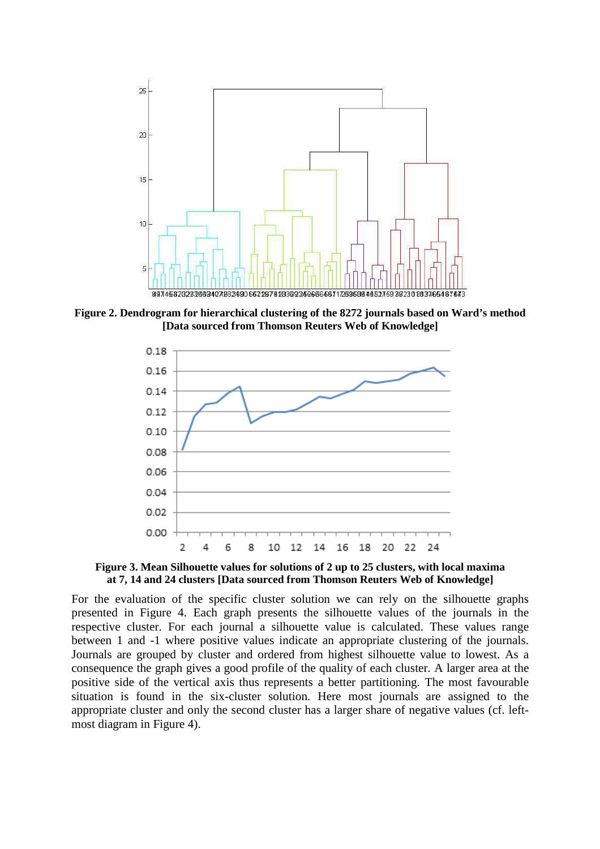

**Figure 2. Dendrogram for hierarchical clustering of the 8272 journals based on Ward's method [Data sourced from Thomson Reuters Web of Knowledge]** 



**Figure 3. Mean Silhouette values for solutions of 2 up to 25 clusters, with local maxima at 7, 14 and 24 clusters [Data sourced from Thomson Reuters Web of Knowledge]** 

For the evaluation of the specific cluster solution we can rely on the silhouette graphs presented in Figure 4. Each graph presents the silhouette values of the journals in the respective cluster. For each journal a silhouette value is calculated. These values range between 1 and -1 where positive values indicate an appropriate clustering of the journals. Journals are grouped by cluster and ordered from highest silhouette value to lowest. As a consequence the graph gives a good profile of the quality of each cluster. A larger area at the positive side of the vertical axis thus represents a better partitioning. The most favourable situation is found in the six-cluster solution. Here most journals are assigned to the appropriate cluster and only the second cluster has a larger share of negative values (cf. leftmost diagram in Figure 4).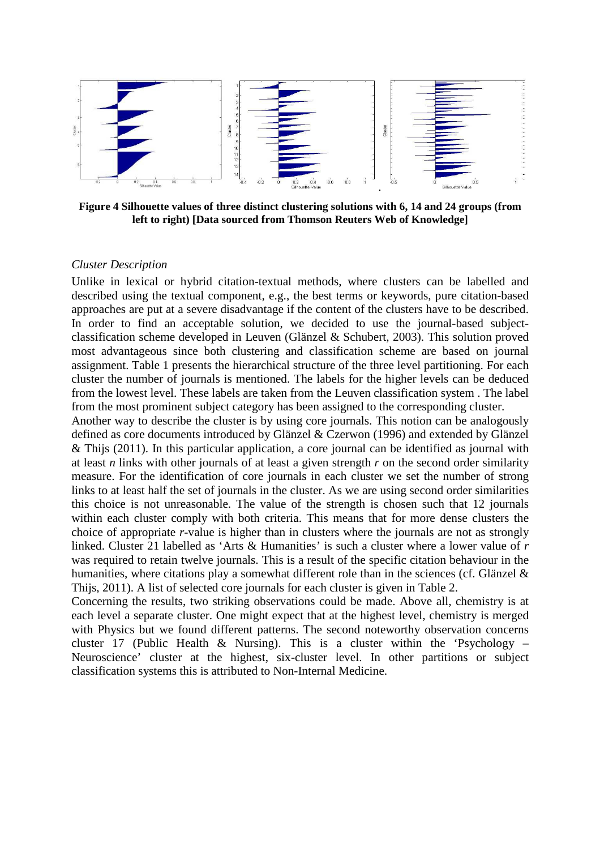

**Figure 4 Silhouette values of three distinct clustering solutions with 6, 14 and 24 groups (from left to right) [Data sourced from Thomson Reuters Web of Knowledge]** 

#### *Cluster Description*

Unlike in lexical or hybrid citation-textual methods, where clusters can be labelled and described using the textual component, e.g., the best terms or keywords, pure citation-based approaches are put at a severe disadvantage if the content of the clusters have to be described. In order to find an acceptable solution, we decided to use the journal-based subjectclassification scheme developed in Leuven (Glänzel & Schubert, 2003). This solution proved most advantageous since both clustering and classification scheme are based on journal assignment. Table 1 presents the hierarchical structure of the three level partitioning. For each cluster the number of journals is mentioned. The labels for the higher levels can be deduced from the lowest level. These labels are taken from the Leuven classification system . The label from the most prominent subject category has been assigned to the corresponding cluster.

Another way to describe the cluster is by using core journals. This notion can be analogously defined as core documents introduced by Glänzel & Czerwon (1996) and extended by Glänzel & Thijs (2011). In this particular application, a core journal can be identified as journal with at least *n* links with other journals of at least a given strength *r* on the second order similarity measure. For the identification of core journals in each cluster we set the number of strong links to at least half the set of journals in the cluster. As we are using second order similarities this choice is not unreasonable. The value of the strength is chosen such that 12 journals within each cluster comply with both criteria. This means that for more dense clusters the choice of appropriate *r*-value is higher than in clusters where the journals are not as strongly linked. Cluster 21 labelled as 'Arts & Humanities' is such a cluster where a lower value of *r* was required to retain twelve journals. This is a result of the specific citation behaviour in the humanities, where citations play a somewhat different role than in the sciences (cf. Glänzel & Thijs, 2011). A list of selected core journals for each cluster is given in Table 2.

Concerning the results, two striking observations could be made. Above all, chemistry is at each level a separate cluster. One might expect that at the highest level, chemistry is merged with Physics but we found different patterns. The second noteworthy observation concerns cluster 17 (Public Health & Nursing). This is a cluster within the 'Psychology – Neuroscience' cluster at the highest, six-cluster level. In other partitions or subject classification systems this is attributed to Non-Internal Medicine.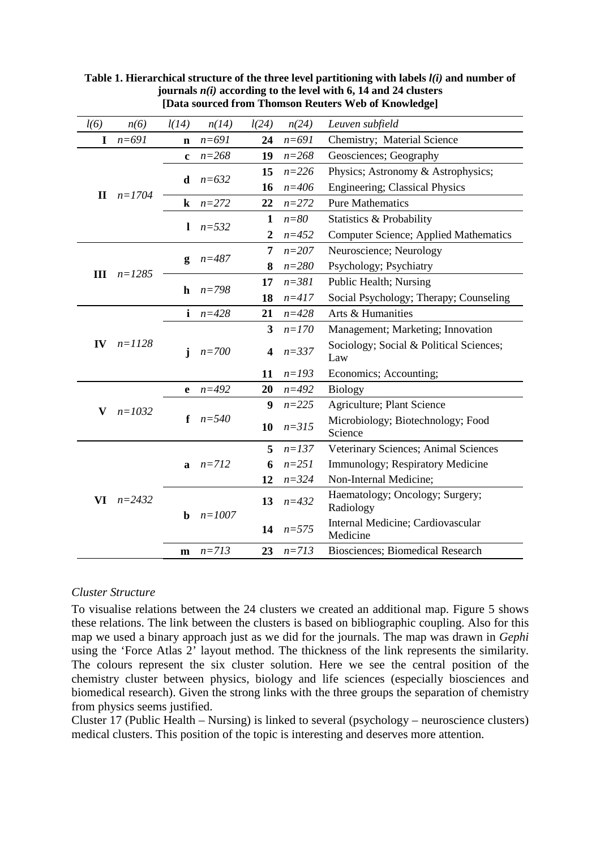| l(6)         | n(6)       | l(14)        | n(14)      | l(24)                   | n(24)     | Leuven subfield                                |  |  |  |  |  |  |  |  |
|--------------|------------|--------------|------------|-------------------------|-----------|------------------------------------------------|--|--|--|--|--|--|--|--|
| I            | $n = 691$  | $\mathbf n$  | $n = 691$  | 24                      | $n = 691$ | Chemistry; Material Science                    |  |  |  |  |  |  |  |  |
|              |            | $\mathbf c$  | $n = 268$  | 19                      | $n = 268$ | Geosciences; Geography                         |  |  |  |  |  |  |  |  |
|              |            |              |            | 15                      | $n = 226$ | Physics; Astronomy & Astrophysics;             |  |  |  |  |  |  |  |  |
|              | $n=1704$   | $\mathbf d$  | $n = 632$  | 16                      | $n = 406$ | <b>Engineering</b> ; Classical Physics         |  |  |  |  |  |  |  |  |
| $\mathbf{I}$ |            | $\bf k$      | $n = 272$  | 22                      | $n = 272$ | <b>Pure Mathematics</b>                        |  |  |  |  |  |  |  |  |
|              |            | 1            | $n = 532$  | 1                       | $n = 80$  | Statistics & Probability                       |  |  |  |  |  |  |  |  |
|              |            |              |            | $\boldsymbol{2}$        | $n = 452$ | <b>Computer Science; Applied Mathematics</b>   |  |  |  |  |  |  |  |  |
|              |            |              | $n = 487$  | 7                       | $n = 207$ | Neuroscience; Neurology                        |  |  |  |  |  |  |  |  |
| Ш            | $n = 1285$ | g            |            | 8                       | $n = 280$ | Psychology; Psychiatry                         |  |  |  |  |  |  |  |  |
|              |            | h            | $n = 798$  | 17                      | $n = 381$ | Public Health; Nursing                         |  |  |  |  |  |  |  |  |
|              |            |              |            | 18                      | $n = 417$ | Social Psychology; Therapy; Counseling         |  |  |  |  |  |  |  |  |
|              |            | i            | $n = 428$  | 21                      | $n = 428$ | Arts & Humanities                              |  |  |  |  |  |  |  |  |
|              |            |              |            | 3                       | $n=170$   | Management; Marketing; Innovation              |  |  |  |  |  |  |  |  |
| IV           | $n = 1128$ | j            | $n = 700$  | $\overline{\mathbf{4}}$ | $n = 337$ | Sociology; Social & Political Sciences;<br>Law |  |  |  |  |  |  |  |  |
|              |            |              |            | 11                      | $n = 193$ | Economics; Accounting;                         |  |  |  |  |  |  |  |  |
|              |            | $\mathbf e$  | $n = 492$  | 20                      | $n = 492$ | <b>Biology</b>                                 |  |  |  |  |  |  |  |  |
| V            | $n = 1032$ |              |            | 9                       | $n = 225$ | Agriculture; Plant Science                     |  |  |  |  |  |  |  |  |
|              |            | f            | $n = 540$  | 10                      | $n = 315$ | Microbiology; Biotechnology; Food<br>Science   |  |  |  |  |  |  |  |  |
|              |            |              |            | 5                       | $n = 137$ | Veterinary Sciences; Animal Sciences           |  |  |  |  |  |  |  |  |
|              |            | a            | $n=712$    | 6                       | $n = 251$ | Immunology; Respiratory Medicine               |  |  |  |  |  |  |  |  |
|              |            |              |            | 12                      | $n = 324$ | Non-Internal Medicine;                         |  |  |  |  |  |  |  |  |
| VI           | $n = 2432$ | $\mathbf b$  | $n = 1007$ | 13                      | $n = 432$ | Haematology; Oncology; Surgery;<br>Radiology   |  |  |  |  |  |  |  |  |
|              |            |              |            | 14                      | $n = 575$ | Internal Medicine; Cardiovascular<br>Medicine  |  |  |  |  |  |  |  |  |
|              |            | $\mathbf{m}$ | $n=713$    | 23                      | $n=713$   | Biosciences; Biomedical Research               |  |  |  |  |  |  |  |  |

**Table 1. Hierarchical structure of the three level partitioning with labels** *l(i)* **and number of journals** *n(i)* **according to the level with 6, 14 and 24 clusters [Data sourced from Thomson Reuters Web of Knowledge]** 

#### *Cluster Structure*

To visualise relations between the 24 clusters we created an additional map. Figure 5 shows these relations. The link between the clusters is based on bibliographic coupling. Also for this map we used a binary approach just as we did for the journals. The map was drawn in *Gephi* using the 'Force Atlas 2' layout method. The thickness of the link represents the similarity. The colours represent the six cluster solution. Here we see the central position of the chemistry cluster between physics, biology and life sciences (especially biosciences and biomedical research). Given the strong links with the three groups the separation of chemistry from physics seems justified.

Cluster 17 (Public Health – Nursing) is linked to several (psychology – neuroscience clusters) medical clusters. This position of the topic is interesting and deserves more attention.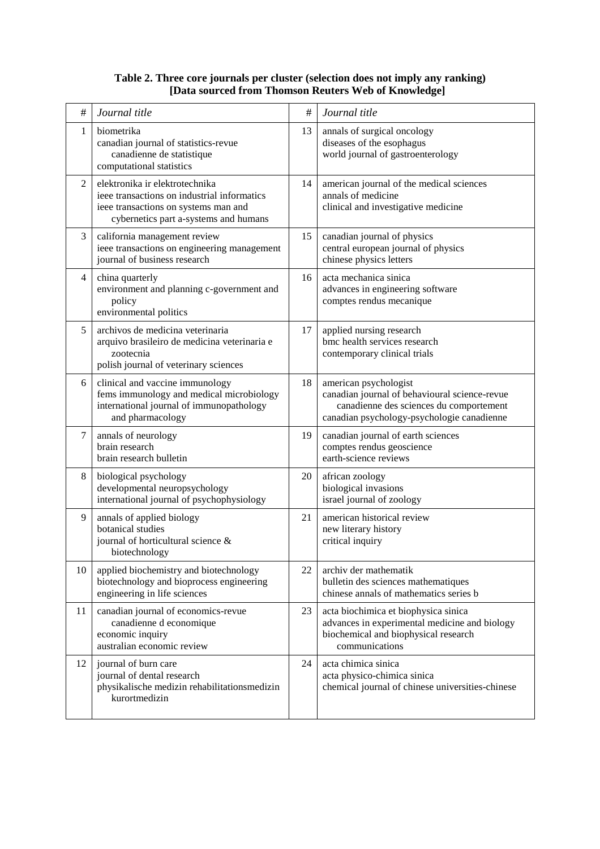#### **Table 2. Three core journals per cluster (selection does not imply any ranking) [Data sourced from Thomson Reuters Web of Knowledge]**

| $\#$           | Journal title                                                                                                                                                  | #  | Journal title                                                                                                                                                   |  |  |  |  |  |  |
|----------------|----------------------------------------------------------------------------------------------------------------------------------------------------------------|----|-----------------------------------------------------------------------------------------------------------------------------------------------------------------|--|--|--|--|--|--|
| 1              | biometrika<br>canadian journal of statistics-revue<br>canadienne de statistique<br>computational statistics                                                    | 13 | annals of surgical oncology<br>diseases of the esophagus<br>world journal of gastroenterology                                                                   |  |  |  |  |  |  |
| $\overline{2}$ | elektronika ir elektrotechnika<br>ieee transactions on industrial informatics<br>ieee transactions on systems man and<br>cybernetics part a-systems and humans | 14 | american journal of the medical sciences<br>annals of medicine<br>clinical and investigative medicine                                                           |  |  |  |  |  |  |
| 3              | california management review<br>ieee transactions on engineering management<br>journal of business research                                                    | 15 | canadian journal of physics<br>central european journal of physics<br>chinese physics letters                                                                   |  |  |  |  |  |  |
| 4              | china quarterly<br>environment and planning c-government and<br>policy<br>environmental politics                                                               | 16 | acta mechanica sinica<br>advances in engineering software<br>comptes rendus mecanique                                                                           |  |  |  |  |  |  |
| 5              | archivos de medicina veterinaria<br>arquivo brasileiro de medicina veterinaria e<br>zootecnia<br>polish journal of veterinary sciences                         | 17 | applied nursing research<br>bmc health services research<br>contemporary clinical trials                                                                        |  |  |  |  |  |  |
| 6              | clinical and vaccine immunology<br>fems immunology and medical microbiology<br>international journal of immunopathology<br>and pharmacology                    | 18 | american psychologist<br>canadian journal of behavioural science-revue<br>canadienne des sciences du comportement<br>canadian psychology-psychologie canadienne |  |  |  |  |  |  |
| 7              | annals of neurology<br>brain research<br>brain research bulletin                                                                                               | 19 | canadian journal of earth sciences<br>comptes rendus geoscience<br>earth-science reviews                                                                        |  |  |  |  |  |  |
| 8              | biological psychology<br>developmental neuropsychology<br>international journal of psychophysiology                                                            | 20 | african zoology<br>biological invasions<br>israel journal of zoology                                                                                            |  |  |  |  |  |  |
| 9              | annals of applied biology<br>botanical studies<br>journal of horticultural science &<br>biotechnology                                                          | 21 | american historical review<br>new literary history<br>critical inquiry                                                                                          |  |  |  |  |  |  |
| 10             | applied biochemistry and biotechnology<br>biotechnology and bioprocess engineering<br>engineering in life sciences                                             | 22 | archiv der mathematik<br>bulletin des sciences mathematiques<br>chinese annals of mathematics series b                                                          |  |  |  |  |  |  |
| 11             | canadian journal of economics-revue<br>canadienne d economique<br>economic inquiry<br>australian economic review                                               | 23 | acta biochimica et biophysica sinica<br>advances in experimental medicine and biology<br>biochemical and biophysical research<br>communications                 |  |  |  |  |  |  |
| 12             | journal of burn care<br>journal of dental research<br>physikalische medizin rehabilitationsmedizin<br>kurortmedizin                                            | 24 | acta chimica sinica<br>acta physico-chimica sinica<br>chemical journal of chinese universities-chinese                                                          |  |  |  |  |  |  |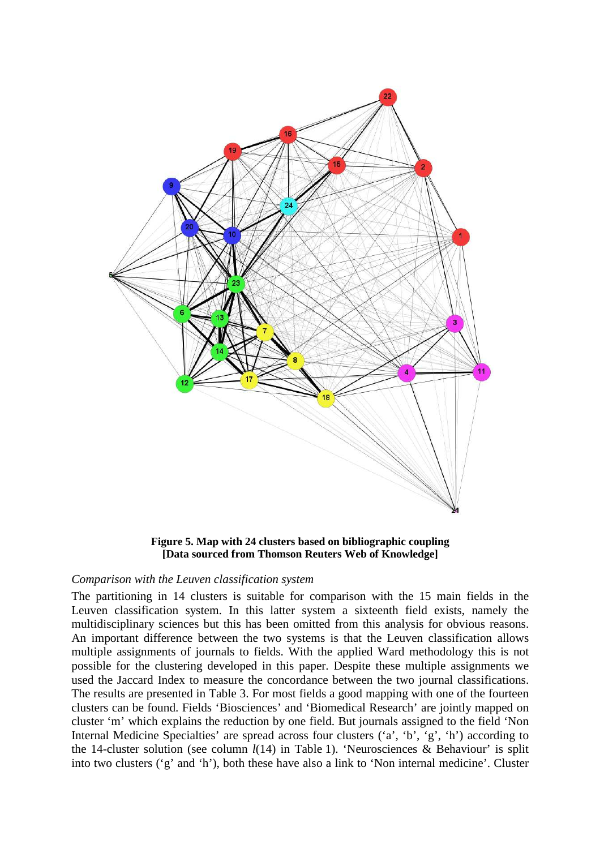

**Figure 5. Map with 24 clusters based on bibliographic coupling [Data sourced from Thomson Reuters Web of Knowledge]**

#### *Comparison with the Leuven classification system*

The partitioning in 14 clusters is suitable for comparison with the 15 main fields in the Leuven classification system. In this latter system a sixteenth field exists, namely the multidisciplinary sciences but this has been omitted from this analysis for obvious reasons. An important difference between the two systems is that the Leuven classification allows Leuven classification system. In this latter system a sixteenth field exists, namely the multidisciplinary sciences but this has been omitted from this analysis for obvious reasons.<br>An important difference between the two possible for the clustering developed in this paper. Despite these multiple assignments we used the Jaccard Index to measure the concordance between the two journal classifications. The results are presented in Table 3. For most fields a good mapping with one of the fourteen clusters can be found. Fields 'Biosciences' and 'Biomedical Research' are jointly mapped on cluster 'm' which explains the reduction by one field. But journals assigned to the field 'Non Internal Medicine Specialties' are spread across four clusters ('a', 'b', 'g', 'h') the 14-cluster solution (see column  $l(14)$  in Table 1). 'Neurosciences & Behaviour' is split into two clusters ('g' and 'h'), both these have also a link to 'Non internal medicine'. Cluster Ference between the two systems is that the Leuven classification allows<br>
ents of journals to fields. With the applied Ward methodology this is not<br>
lustering developed in this paper. Despite these multiple assignments we 'h') according to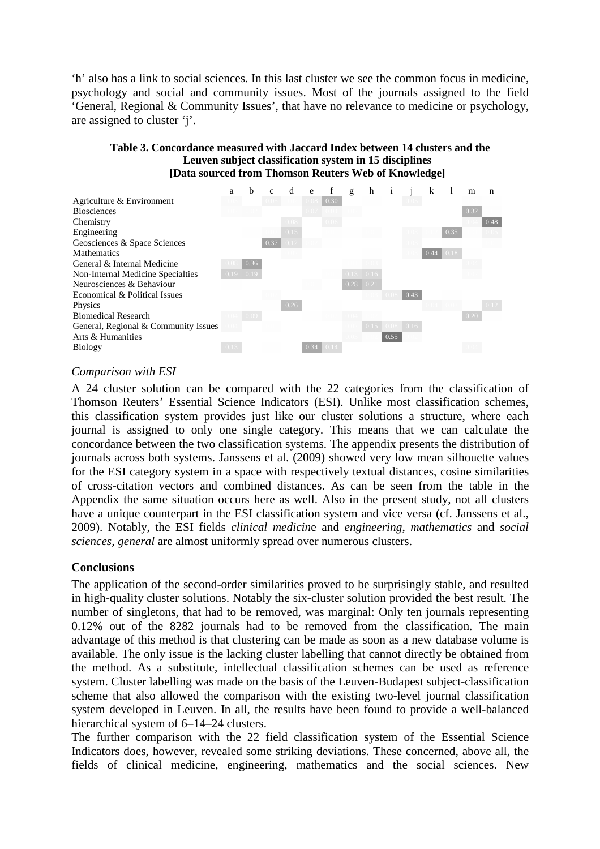'h' also has a link to social sciences. In this last cluster we see the common focus in medicine, psychology and social and community issues. Most of the journals assigned to the field 'General, Regional & Community Issues', that have no relevance to medicine or psychology, are assigned to cluster 'j'.

#### **Table 3. Concordance measured with Jaccard Index between 14 clusters and the Leuven subject classification system in 15 disciplines [Data sourced from Thomson Reuters Web of Knowledge]**



#### *Comparison with ESI*

A 24 cluster solution can be compared with the 22 categories from the classification of Thomson Reuters' Essential Science Indicators (ESI). Unlike most classification schemes, this classification system provides just like our cluster solutions a structure, where each journal is assigned to only one single category. This means that we can calculate the concordance between the two classification systems. The appendix presents the distribution of journals across both systems. Janssens et al. (2009) showed very low mean silhouette values for the ESI category system in a space with respectively textual distances, cosine similarities of cross-citation vectors and combined distances. As can be seen from the table in the Appendix the same situation occurs here as well. Also in the present study, not all clusters have a unique counterpart in the ESI classification system and vice versa (cf. Janssens et al., 2009). Notably, the ESI fields *clinical medicin*e and *engineering*, *mathematics* and *social sciences, general* are almost uniformly spread over numerous clusters.

#### **Conclusions**

The application of the second-order similarities proved to be surprisingly stable, and resulted in high-quality cluster solutions. Notably the six-cluster solution provided the best result. The number of singletons, that had to be removed, was marginal: Only ten journals representing 0.12% out of the 8282 journals had to be removed from the classification. The main advantage of this method is that clustering can be made as soon as a new database volume is available. The only issue is the lacking cluster labelling that cannot directly be obtained from the method. As a substitute, intellectual classification schemes can be used as reference system. Cluster labelling was made on the basis of the Leuven-Budapest subject-classification scheme that also allowed the comparison with the existing two-level journal classification system developed in Leuven. In all, the results have been found to provide a well-balanced hierarchical system of  $6-14-24$  clusters.

The further comparison with the 22 field classification system of the Essential Science Indicators does, however, revealed some striking deviations. These concerned, above all, the fields of clinical medicine, engineering, mathematics and the social sciences. New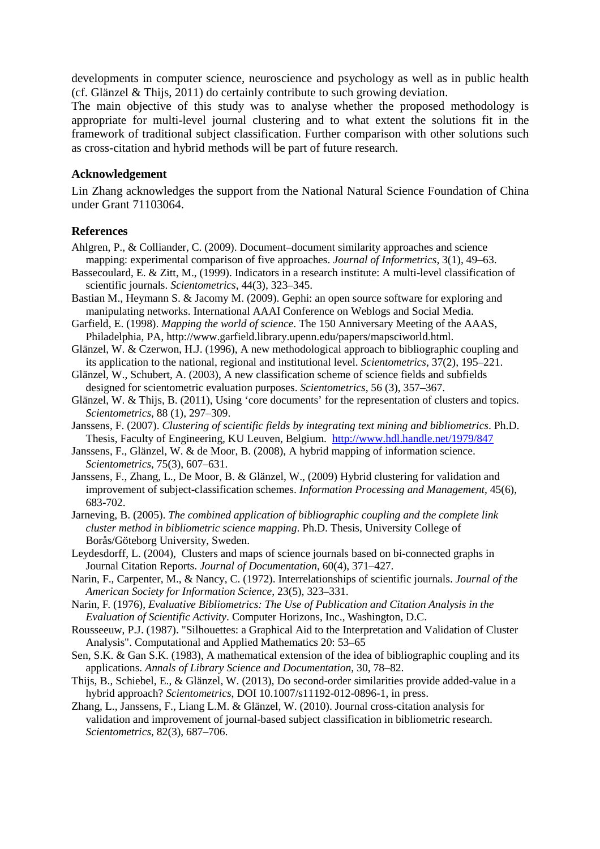developments in computer science, neuroscience and psychology as well as in public health (cf. Glänzel & Thijs, 2011) do certainly contribute to such growing deviation.

The main objective of this study was to analyse whether the proposed methodology is appropriate for multi-level journal clustering and to what extent the solutions fit in the framework of traditional subject classification. Further comparison with other solutions such as cross-citation and hybrid methods will be part of future research.

#### **Acknowledgement**

Lin Zhang acknowledges the support from the National Natural Science Foundation of China under Grant 71103064.

#### **References**

- Ahlgren, P., & Colliander, C. (2009). Document–document similarity approaches and science mapping: experimental comparison of five approaches. *Journal of Informetrics*, 3(1), 49–63.
- Bassecoulard, E. & Zitt, M., (1999). Indicators in a research institute: A multi-level classification of scientific journals. *Scientometrics*, 44(3), 323–345.
- Bastian M., Heymann S. & Jacomy M. (2009). Gephi: an open source software for exploring and manipulating networks. International AAAI Conference on Weblogs and Social Media.
- Garfield, E. (1998). *Mapping the world of science*. The 150 Anniversary Meeting of the AAAS, Philadelphia, PA, http://www.garfield.library.upenn.edu/papers/mapsciworld.html.
- Glänzel, W. & Czerwon, H.J. (1996), A new methodological approach to bibliographic coupling and its application to the national, regional and institutional level. *Scientometrics*, 37(2), 195–221.
- Glänzel, W., Schubert, A. (2003), A new classification scheme of science fields and subfields designed for scientometric evaluation purposes. *Scientometrics*, 56 (3), 357–367.
- Glänzel, W. & Thijs, B. (2011), Using 'core documents' for the representation of clusters and topics. *Scientometrics*, 88 (1), 297–309.
- Janssens, F. (2007). *Clustering of scientific fields by integrating text mining and bibliometrics*. Ph.D. Thesis, Faculty of Engineering, KU Leuven, Belgium. http://www.hdl.handle.net/1979/847
- Janssens, F., Glänzel, W. & de Moor, B. (2008), A hybrid mapping of information science. *Scientometrics*, 75(3), 607–631.
- Janssens, F., Zhang, L., De Moor, B. & Glänzel, W., (2009) Hybrid clustering for validation and improvement of subject-classification schemes. *Information Processing and Management*, 45(6), 683-702.
- Jarneving, B. (2005). *The combined application of bibliographic coupling and the complete link cluster method in bibliometric science mapping*. Ph.D. Thesis, University College of Borås/Göteborg University, Sweden.
- Leydesdorff, L. (2004), Clusters and maps of science journals based on bi-connected graphs in Journal Citation Reports. *Journal of Documentation*, 60(4), 371–427.
- Narin, F., Carpenter, M., & Nancy, C. (1972). Interrelationships of scientific journals. *Journal of the American Society for Information Science*, 23(5), 323–331.
- Narin, F. (1976), *Evaluative Bibliometrics: The Use of Publication and Citation Analysis in the Evaluation of Scientific Activity*. Computer Horizons, Inc., Washington, D.C.
- Rousseeuw, P.J. (1987). "Silhouettes: a Graphical Aid to the Interpretation and Validation of Cluster Analysis". Computational and Applied Mathematics 20: 53–65
- Sen, S.K. & Gan S.K. (1983), A mathematical extension of the idea of bibliographic coupling and its applications. *Annals of Library Science and Documentation*, 30, 78–82.
- Thijs, B., Schiebel, E., & Glänzel, W. (2013), Do second-order similarities provide added-value in a hybrid approach? *Scientometrics*, DOI 10.1007/s11192-012-0896-1, in press.
- Zhang, L., Janssens, F., Liang L.M. & Glänzel, W. (2010). Journal cross-citation analysis for validation and improvement of journal-based subject classification in bibliometric research. *Scientometrics*, 82(3), 687–706.